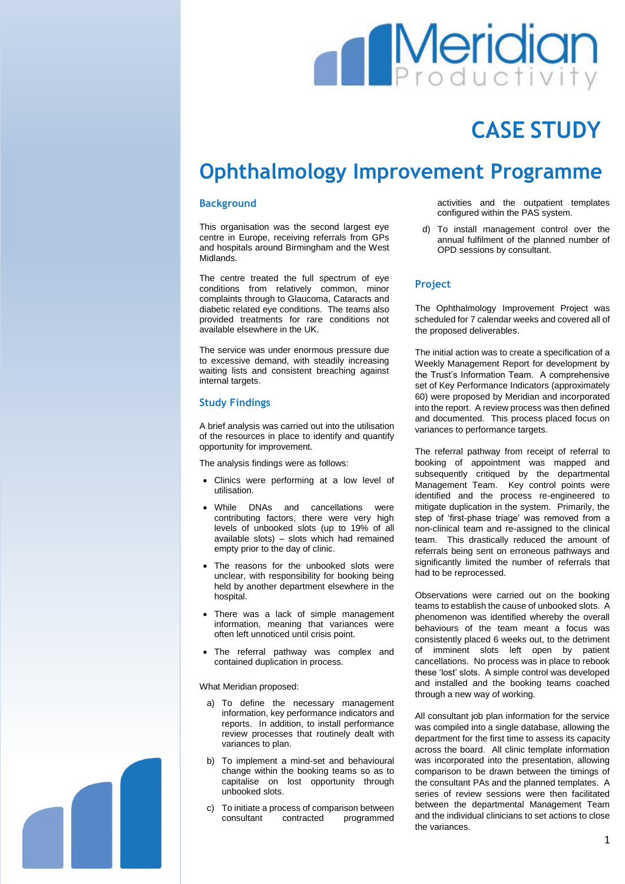# **Meridiar**

## **CASE STUDY**

### **Ophthalmology Improvement Programme**

#### **Background**

This organisation was the second largest eye centre in Europe, receiving referrals from GPs and hospitals around Birmingham and the West Midlands.

The centre treated the full spectrum of eye conditions from relatively common, minor complaints through to Glaucoma, Cataracts and diabetic related eye conditions. The teams also provided treatments for rare conditions not available elsewhere in the UK.

The service was under enormous pressure due to excessive demand, with steadily increasing waiting lists and consistent breaching against internal targets.

#### **Study Findings**

A brief analysis was carried out into the utilisation of the resources in place to identify and quantify opportunity for improvement.

The analysis findings were as follows:

- Clinics were performing at a low level of utilisation.
- While DNAs and cancellations were contributing factors, there were very high levels of unbooked slots (up to 19% of all available slots) – slots which had remained empty prior to the day of clinic.
- The reasons for the unbooked slots were unclear, with responsibility for booking being held by another department elsewhere in the hospital.
- There was a lack of simple management information, meaning that variances were often left unnoticed until crisis point.
- The referral pathway was complex and contained duplication in process.

What Meridian proposed:

- a) To define the necessary management information, key performance indicators and reports. In addition, to install performance review processes that routinely dealt with variances to plan.
- b) To implement a mind-set and behavioural change within the booking teams so as to capitalise on lost opportunity through unbooked slots.
- c) To initiate a process of comparison between consultant contracted programmed

activities and the outpatient templates configured within the PAS system.

d) To install management control over the annual fulfilment of the planned number of OPD sessions by consultant.

#### **Project**

The Ophthalmology Improvement Project was scheduled for 7 calendar weeks and covered all of the proposed deliverables.

The initial action was to create a specification of a Weekly Management Report for development by the Trust's Information Team. A comprehensive set of Key Performance Indicators (approximately 60) were proposed by Meridian and incorporated into the report. A review process was then defined and documented. This process placed focus on variances to performance targets.

The referral pathway from receipt of referral to booking of appointment was mapped and subsequently critiqued by the departmental Management Team. Key control points were identified and the process re-engineered to mitigate duplication in the system. Primarily, the step of 'first-phase triage' was removed from a non-clinical team and re-assigned to the clinical team. This drastically reduced the amount of referrals being sent on erroneous pathways and significantly limited the number of referrals that had to be reprocessed.

Observations were carried out on the booking teams to establish the cause of unbooked slots. A phenomenon was identified whereby the overall behaviours of the team meant a focus was consistently placed 6 weeks out, to the detriment of imminent slots left open by patient cancellations. No process was in place to rebook these 'lost' slots. A simple control was developed and installed and the booking teams coached through a new way of working.

All consultant job plan information for the service was compiled into a single database, allowing the department for the first time to assess its capacity across the board. All clinic template information was incorporated into the presentation, allowing comparison to be drawn between the timings of the consultant PAs and the planned templates. A series of review sessions were then facilitated between the departmental Management Team and the individual clinicians to set actions to close the variances.